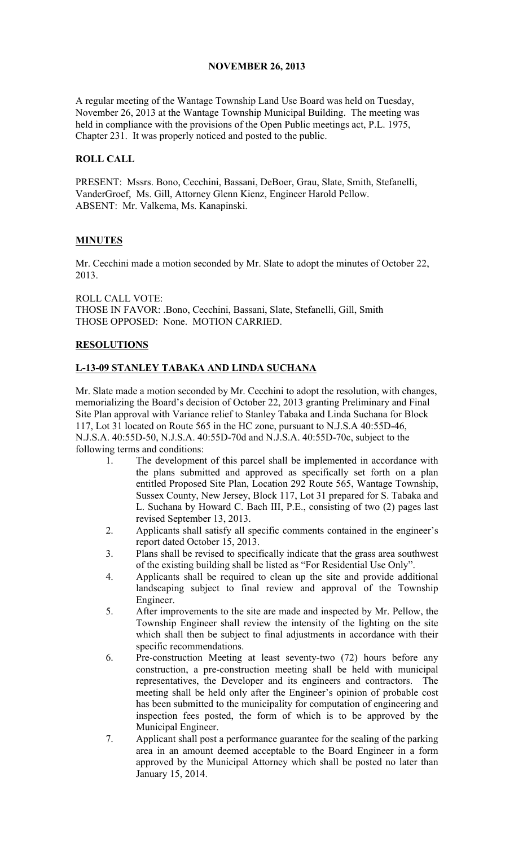## NOVEMBER 26, 2013

A regular meeting of the Wantage Township Land Use Board was held on Tuesday, November 26, 2013 at the Wantage Township Municipal Building. The meeting was held in compliance with the provisions of the Open Public meetings act, P.L. 1975, Chapter 231. It was properly noticed and posted to the public.

## ROLL CALL

PRESENT: Mssrs. Bono, Cecchini, Bassani, DeBoer, Grau, Slate, Smith, Stefanelli, VanderGroef, Ms. Gill, Attorney Glenn Kienz, Engineer Harold Pellow. ABSENT: Mr. Valkema, Ms. Kanapinski.

## MINUTES

Mr. Cecchini made a motion seconded by Mr. Slate to adopt the minutes of October 22, 2013.

ROLL CALL VOTE: THOSE IN FAVOR: .Bono, Cecchini, Bassani, Slate, Stefanelli, Gill, Smith THOSE OPPOSED: None. MOTION CARRIED.

## RESOLUTIONS

# L-13-09 STANLEY TABAKA AND LINDA SUCHANA

Mr. Slate made a motion seconded by Mr. Cecchini to adopt the resolution, with changes, memorializing the Board's decision of October 22, 2013 granting Preliminary and Final Site Plan approval with Variance relief to Stanley Tabaka and Linda Suchana for Block 117, Lot 31 located on Route 565 in the HC zone, pursuant to N.J.S.A 40:55D-46, N.J.S.A. 40:55D-50, N.J.S.A. 40:55D-70d and N.J.S.A. 40:55D-70c, subject to the following terms and conditions:

- 1. The development of this parcel shall be implemented in accordance with the plans submitted and approved as specifically set forth on a plan entitled Proposed Site Plan, Location 292 Route 565, Wantage Township, Sussex County, New Jersey, Block 117, Lot 31 prepared for S. Tabaka and L. Suchana by Howard C. Bach III, P.E., consisting of two (2) pages last revised September 13, 2013.
- 2. Applicants shall satisfy all specific comments contained in the engineer's report dated October 15, 2013.
- 3. Plans shall be revised to specifically indicate that the grass area southwest of the existing building shall be listed as "For Residential Use Only".
- 4. Applicants shall be required to clean up the site and provide additional landscaping subject to final review and approval of the Township Engineer.
- 5. After improvements to the site are made and inspected by Mr. Pellow, the Township Engineer shall review the intensity of the lighting on the site which shall then be subject to final adjustments in accordance with their specific recommendations.
- 6. Pre-construction Meeting at least seventy-two (72) hours before any construction, a pre-construction meeting shall be held with municipal representatives, the Developer and its engineers and contractors. The meeting shall be held only after the Engineer's opinion of probable cost has been submitted to the municipality for computation of engineering and inspection fees posted, the form of which is to be approved by the Municipal Engineer.
- 7. Applicant shall post a performance guarantee for the sealing of the parking area in an amount deemed acceptable to the Board Engineer in a form approved by the Municipal Attorney which shall be posted no later than January 15, 2014.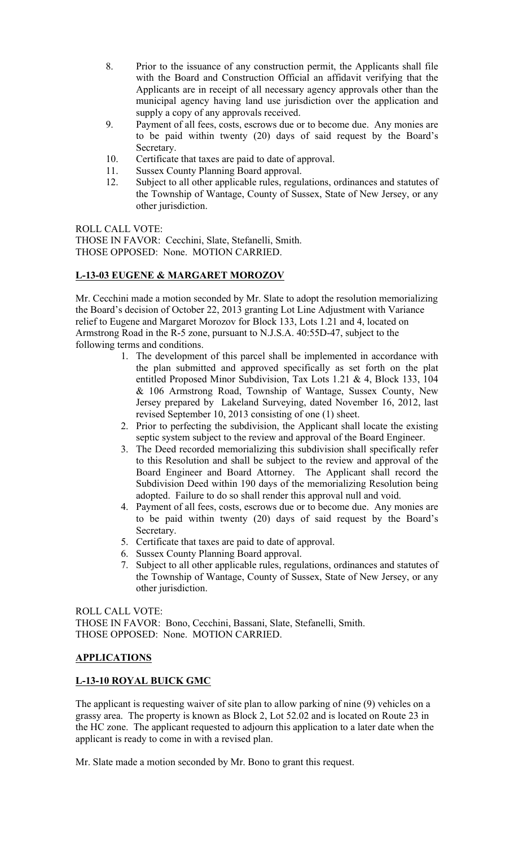- 8. Prior to the issuance of any construction permit, the Applicants shall file with the Board and Construction Official an affidavit verifying that the Applicants are in receipt of all necessary agency approvals other than the municipal agency having land use jurisdiction over the application and supply a copy of any approvals received.
- 9. Payment of all fees, costs, escrows due or to become due. Any monies are to be paid within twenty (20) days of said request by the Board's Secretary.
- 10. Certificate that taxes are paid to date of approval.
- 11. Sussex County Planning Board approval.
- 12. Subject to all other applicable rules, regulations, ordinances and statutes of the Township of Wantage, County of Sussex, State of New Jersey, or any other jurisdiction.

ROLL CALL VOTE:

THOSE IN FAVOR: Cecchini, Slate, Stefanelli, Smith. THOSE OPPOSED: None. MOTION CARRIED.

## L-13-03 EUGENE & MARGARET MOROZOV

Mr. Cecchini made a motion seconded by Mr. Slate to adopt the resolution memorializing the Board's decision of October 22, 2013 granting Lot Line Adjustment with Variance relief to Eugene and Margaret Morozov for Block 133, Lots 1.21 and 4, located on Armstrong Road in the R-5 zone, pursuant to N.J.S.A. 40:55D-47, subject to the following terms and conditions.

- 1. The development of this parcel shall be implemented in accordance with the plan submitted and approved specifically as set forth on the plat entitled Proposed Minor Subdivision, Tax Lots 1.21 & 4, Block 133, 104 & 106 Armstrong Road, Township of Wantage, Sussex County, New Jersey prepared by Lakeland Surveying, dated November 16, 2012, last revised September 10, 2013 consisting of one (1) sheet.
- 2. Prior to perfecting the subdivision, the Applicant shall locate the existing septic system subject to the review and approval of the Board Engineer.
- 3. The Deed recorded memorializing this subdivision shall specifically refer to this Resolution and shall be subject to the review and approval of the Board Engineer and Board Attorney. The Applicant shall record the Subdivision Deed within 190 days of the memorializing Resolution being adopted. Failure to do so shall render this approval null and void.
- 4. Payment of all fees, costs, escrows due or to become due. Any monies are to be paid within twenty (20) days of said request by the Board's Secretary.
- 5. Certificate that taxes are paid to date of approval.
- 6. Sussex County Planning Board approval.
- 7. Subject to all other applicable rules, regulations, ordinances and statutes of the Township of Wantage, County of Sussex, State of New Jersey, or any other jurisdiction.

ROLL CALL VOTE: THOSE IN FAVOR: Bono, Cecchini, Bassani, Slate, Stefanelli, Smith. THOSE OPPOSED: None. MOTION CARRIED.

# APPLICATIONS

# L-13-10 ROYAL BUICK GMC

The applicant is requesting waiver of site plan to allow parking of nine (9) vehicles on a grassy area. The property is known as Block 2, Lot 52.02 and is located on Route 23 in the HC zone. The applicant requested to adjourn this application to a later date when the applicant is ready to come in with a revised plan.

Mr. Slate made a motion seconded by Mr. Bono to grant this request.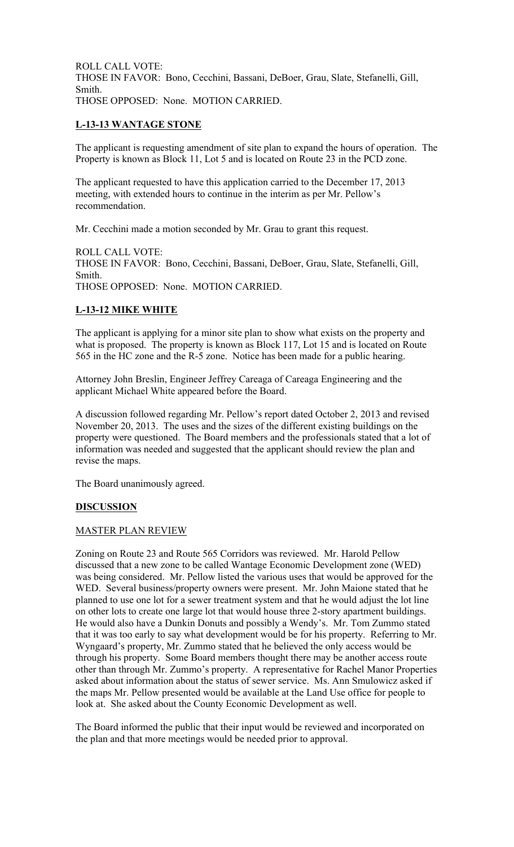ROLL CALL VOTE: THOSE IN FAVOR: Bono, Cecchini, Bassani, DeBoer, Grau, Slate, Stefanelli, Gill, Smith. THOSE OPPOSED: None. MOTION CARRIED.

## L-13-13 WANTAGE STONE

The applicant is requesting amendment of site plan to expand the hours of operation. The Property is known as Block 11, Lot 5 and is located on Route 23 in the PCD zone.

The applicant requested to have this application carried to the December 17, 2013 meeting, with extended hours to continue in the interim as per Mr. Pellow's recommendation.

Mr. Cecchini made a motion seconded by Mr. Grau to grant this request.

ROLL CALL VOTE: THOSE IN FAVOR: Bono, Cecchini, Bassani, DeBoer, Grau, Slate, Stefanelli, Gill, Smith. THOSE OPPOSED: None. MOTION CARRIED.

# L-13-12 MIKE WHITE

The applicant is applying for a minor site plan to show what exists on the property and what is proposed. The property is known as Block 117, Lot 15 and is located on Route 565 in the HC zone and the R-5 zone. Notice has been made for a public hearing.

Attorney John Breslin, Engineer Jeffrey Careaga of Careaga Engineering and the applicant Michael White appeared before the Board.

A discussion followed regarding Mr. Pellow's report dated October 2, 2013 and revised November 20, 2013. The uses and the sizes of the different existing buildings on the property were questioned. The Board members and the professionals stated that a lot of information was needed and suggested that the applicant should review the plan and revise the maps.

The Board unanimously agreed.

### **DISCUSSION**

### MASTER PLAN REVIEW

Zoning on Route 23 and Route 565 Corridors was reviewed. Mr. Harold Pellow discussed that a new zone to be called Wantage Economic Development zone (WED) was being considered. Mr. Pellow listed the various uses that would be approved for the WED. Several business/property owners were present. Mr. John Maione stated that he planned to use one lot for a sewer treatment system and that he would adjust the lot line on other lots to create one large lot that would house three 2-story apartment buildings. He would also have a Dunkin Donuts and possibly a Wendy's. Mr. Tom Zummo stated that it was too early to say what development would be for his property. Referring to Mr. Wyngaard's property, Mr. Zummo stated that he believed the only access would be through his property. Some Board members thought there may be another access route other than through Mr. Zummo's property. A representative for Rachel Manor Properties asked about information about the status of sewer service. Ms. Ann Smulowicz asked if the maps Mr. Pellow presented would be available at the Land Use office for people to look at. She asked about the County Economic Development as well.

The Board informed the public that their input would be reviewed and incorporated on the plan and that more meetings would be needed prior to approval.